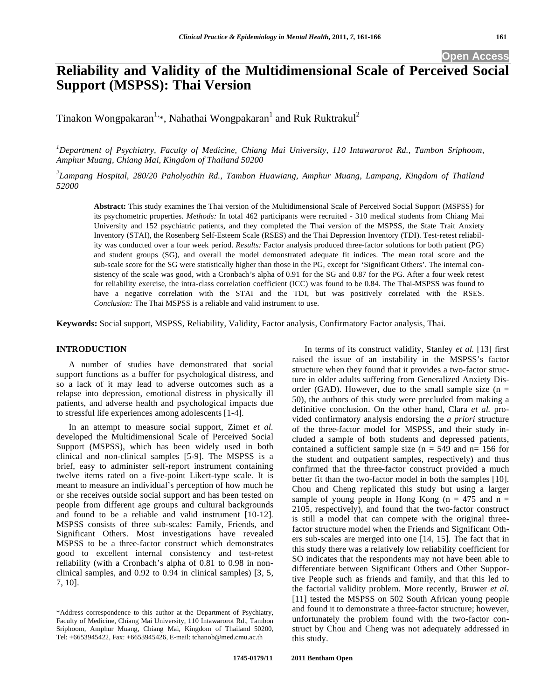# **Reliability and Validity of the Multidimensional Scale of Perceived Social Support (MSPSS): Thai Version**

Tinakon Wongpakaran<sup>1,</sup>\*, Nahathai Wongpakaran<sup>1</sup> and Ruk Ruktrakul<sup>2</sup>

<sup>1</sup>Department of Psychiatry, Faculty of Medicine, Chiang Mai University, 110 Intawarorot Rd., Tambon Sriphoom, *Amphur Muang, Chiang Mai, Kingdom of Thailand 50200* 

*2 Lampang Hospital, 280/20 Paholyothin Rd., Tambon Huawiang, Amphur Muang, Lampang, Kingdom of Thailand 52000* 

**Abstract:** This study examines the Thai version of the Multidimensional Scale of Perceived Social Support (MSPSS) for its psychometric properties. *Methods:* In total 462 participants were recruited - 310 medical students from Chiang Mai University and 152 psychiatric patients, and they completed the Thai version of the MSPSS, the State Trait Anxiety Inventory (STAI), the Rosenberg Self-Esteem Scale (RSES) and the Thai Depression Inventory (TDI). Test-retest reliability was conducted over a four week period. *Results:* Factor analysis produced three-factor solutions for both patient (PG) and student groups (SG), and overall the model demonstrated adequate fit indices. The mean total score and the sub-scale score for the SG were statistically higher than those in the PG, except for 'Significant Others'. The internal consistency of the scale was good, with a Cronbach's alpha of 0.91 for the SG and 0.87 for the PG. After a four week retest for reliability exercise, the intra-class correlation coefficient (ICC) was found to be 0.84. The Thai-MSPSS was found to have a negative correlation with the STAI and the TDI, but was positively correlated with the RSES. *Conclusion:* The Thai MSPSS is a reliable and valid instrument to use.

**Keywords:** Social support, MSPSS, Reliability, Validity, Factor analysis, Confirmatory Factor analysis, Thai.

# **INTRODUCTION**

A number of studies have demonstrated that social support functions as a buffer for psychological distress, and so a lack of it may lead to adverse outcomes such as a relapse into depression, emotional distress in physically ill patients, and adverse health and psychological impacts due to stressful life experiences among adolescents [1-4].

In an attempt to measure social support, Zimet *et al.* developed the Multidimensional Scale of Perceived Social Support (MSPSS), which has been widely used in both clinical and non-clinical samples [5-9]. The MSPSS is a brief, easy to administer self-report instrument containing twelve items rated on a five-point Likert-type scale. It is meant to measure an individual's perception of how much he or she receives outside social support and has been tested on people from different age groups and cultural backgrounds and found to be a reliable and valid instrument [10-12]. MSPSS consists of three sub-scales: Family, Friends, and Significant Others. Most investigations have revealed MSPSS to be a three-factor construct which demonstrates good to excellent internal consistency and test-retest reliability (with a Cronbach's alpha of 0.81 to 0.98 in nonclinical samples, and 0.92 to 0.94 in clinical samples) [3, 5, 7, 10].

In terms of its construct validity, Stanley *et al.* [13] first raised the issue of an instability in the MSPSS's factor structure when they found that it provides a two-factor structure in older adults suffering from Generalized Anxiety Disorder (GAD). However, due to the small sample size  $(n =$ 50), the authors of this study were precluded from making a definitive conclusion. On the other hand, Clara *et al.* provided confirmatory analysis endorsing the *a priori* structure of the three-factor model for MSPSS, and their study included a sample of both students and depressed patients, contained a sufficient sample size ( $n = 549$  and  $n = 156$  for the student and outpatient samples, respectively) and thus confirmed that the three-factor construct provided a much better fit than the two-factor model in both the samples [10]. Chou and Cheng replicated this study but using a larger sample of young people in Hong Kong ( $n = 475$  and  $n =$ 2105, respectively), and found that the two-factor construct is still a model that can compete with the original threefactor structure model when the Friends and Significant Others sub-scales are merged into one [14, 15]. The fact that in this study there was a relatively low reliability coefficient for SO indicates that the respondents may not have been able to differentiate between Significant Others and Other Supportive People such as friends and family, and that this led to the factorial validity problem. More recently, Bruwer *et al.* [11] tested the MSPSS on 502 South African young people and found it to demonstrate a three-factor structure; however, unfortunately the problem found with the two-factor construct by Chou and Cheng was not adequately addressed in this study.

<sup>\*</sup>Address correspondence to this author at the Department of Psychiatry, Faculty of Medicine, Chiang Mai University, 110 Intawarorot Rd., Tambon Sriphoom, Amphur Muang, Chiang Mai, Kingdom of Thailand 50200, Tel: +6653945422, Fax: +6653945426, E-mail: tchanob@med.cmu.ac.th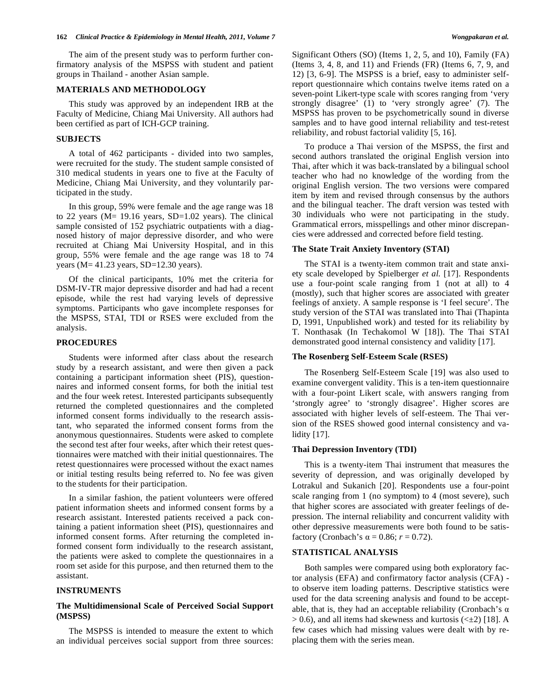The aim of the present study was to perform further confirmatory analysis of the MSPSS with student and patient groups in Thailand - another Asian sample.

## **MATERIALS AND METHODOLOGY**

This study was approved by an independent IRB at the Faculty of Medicine, Chiang Mai University. All authors had been certified as part of ICH-GCP training.

#### **SUBJECTS**

A total of 462 participants - divided into two samples, were recruited for the study. The student sample consisted of 310 medical students in years one to five at the Faculty of Medicine, Chiang Mai University, and they voluntarily participated in the study.

In this group, 59% were female and the age range was 18 to 22 years (M= 19.16 years, SD=1.02 years). The clinical sample consisted of 152 psychiatric outpatients with a diagnosed history of major depressive disorder, and who were recruited at Chiang Mai University Hospital, and in this group, 55% were female and the age range was 18 to 74 years ( $M = 41.23$  years,  $SD = 12.30$  years).

Of the clinical participants, 10% met the criteria for DSM-IV-TR major depressive disorder and had had a recent episode, while the rest had varying levels of depressive symptoms. Participants who gave incomplete responses for the MSPSS, STAI, TDI or RSES were excluded from the analysis.

## **PROCEDURES**

Students were informed after class about the research study by a research assistant, and were then given a pack containing a participant information sheet (PIS), questionnaires and informed consent forms, for both the initial test and the four week retest. Interested participants subsequently returned the completed questionnaires and the completed informed consent forms individually to the research assistant, who separated the informed consent forms from the anonymous questionnaires. Students were asked to complete the second test after four weeks, after which their retest questionnaires were matched with their initial questionnaires. The retest questionnaires were processed without the exact names or initial testing results being referred to. No fee was given to the students for their participation.

In a similar fashion, the patient volunteers were offered patient information sheets and informed consent forms by a research assistant. Interested patients received a pack containing a patient information sheet (PIS), questionnaires and informed consent forms. After returning the completed informed consent form individually to the research assistant, the patients were asked to complete the questionnaires in a room set aside for this purpose, and then returned them to the assistant.

## **INSTRUMENTS**

# **The Multidimensional Scale of Perceived Social Support (MSPSS)**

The MSPSS is intended to measure the extent to which an individual perceives social support from three sources:

To produce a Thai version of the MSPSS, the first and second authors translated the original English version into Thai, after which it was back-translated by a bilingual school teacher who had no knowledge of the wording from the original English version. The two versions were compared item by item and revised through consensus by the authors and the bilingual teacher. The draft version was tested with 30 individuals who were not participating in the study. Grammatical errors, misspellings and other minor discrepancies were addressed and corrected before field testing.

#### **The State Trait Anxiety Inventory (STAI)**

The STAI is a twenty-item common trait and state anxiety scale developed by Spielberger *et al.* [17]. Respondents use a four-point scale ranging from 1 (not at all) to 4 (mostly), such that higher scores are associated with greater feelings of anxiety. A sample response is 'I feel secure'. The study version of the STAI was translated into Thai (Thapinta D, 1991, Unpublished work) and tested for its reliability by T. Nonthasak (In Techakomol W [18]). The Thai STAI demonstrated good internal consistency and validity [17].

#### **The Rosenberg Self**-**Esteem Scale (RSES)**

The Rosenberg Self-Esteem Scale [19] was also used to examine convergent validity. This is a ten-item questionnaire with a four-point Likert scale, with answers ranging from 'strongly agree' to 'strongly disagree'. Higher scores are associated with higher levels of self-esteem. The Thai version of the RSES showed good internal consistency and validity [17].

#### **Thai Depression Inventory (TDI)**

This is a twenty-item Thai instrument that measures the severity of depression, and was originally developed by Lotrakul and Sukanich [20]. Respondents use a four-point scale ranging from 1 (no symptom) to 4 (most severe), such that higher scores are associated with greater feelings of depression. The internal reliability and concurrent validity with other depressive measurements were both found to be satisfactory (Cronbach's  $\alpha = 0.86$ ;  $r = 0.72$ ).

# **STATISTICAL ANALYSIS**

Both samples were compared using both exploratory factor analysis (EFA) and confirmatory factor analysis (CFA) to observe item loading patterns. Descriptive statistics were used for the data screening analysis and found to be acceptable, that is, they had an acceptable reliability (Cronbach's  $\alpha$ )  $> 0.6$ ), and all items had skewness and kurtosis ( $\lt \pm 2$ ) [18]. A few cases which had missing values were dealt with by replacing them with the series mean.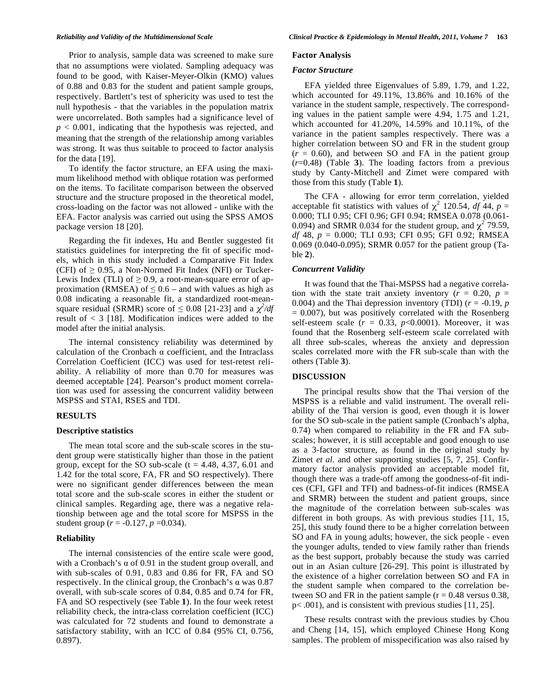Prior to analysis, sample data was screened to make sure that no assumptions were violated. Sampling adequacy was found to be good, with Kaiser-Meyer-Olkin (KMO) values of 0.88 and 0.83 for the student and patient sample groups, respectively. Bartlett's test of sphericity was used to test the null hypothesis - that the variables in the population matrix were uncorrelated. Both samples had a significance level of *p* < 0.001, indicating that the hypothesis was rejected, and meaning that the strength of the relationship among variables was strong. It was thus suitable to proceed to factor analysis for the data [19].

To identify the factor structure, an EFA using the maximum likelihood method with oblique rotation was performed on the items. To facilitate comparison between the observed structure and the structure proposed in the theoretical model, cross-loading on the factor was not allowed - unlike with the EFA. Factor analysis was carried out using the SPSS AMOS package version 18 [20].

Regarding the fit indexes, Hu and Bentler suggested fit statistics guidelines for interpreting the fit of specific models, which in this study included a Comparative Fit Index (CFI) of  $\geq$  0.95, a Non-Normed Fit Index (NFI) or Tucker-Lewis Index (TLI) of  $\geq 0.9$ , a root-mean-square error of approximation (RMSEA) of  $\leq 0.6$  – and with values as high as 0.08 indicating a reasonable fit, a standardized root-meansquare residual (SRMR) score of  $\leq 0.08$  [21-23] and a  $\chi^2/df$ result of < 3 [18]. Modification indices were added to the model after the initial analysis.

The internal consistency reliability was determined by calculation of the Cronbach  $\alpha$  coefficient, and the Intraclass Correlation Coefficient (ICC) was used for test-retest reliability. A reliability of more than 0.70 for measures was deemed acceptable [24]. Pearson's product moment correlation was used for assessing the concurrent validity between MSPSS and STAI, RSES and TDI.

## **RESULTS**

## **Descriptive statistics**

The mean total score and the sub-scale scores in the student group were statistically higher than those in the patient group, except for the SO sub-scale ( $t = 4.48, 4.37, 6.01$  and 1.42 for the total score, FA, FR and SO respectively). There were no significant gender differences between the mean total score and the sub-scale scores in either the student or clinical samples. Regarding age, there was a negative relationship between age and the total score for MSPSS in the student group ( $r = -0.127$ ,  $p = 0.034$ ).

## **Reliability**

The internal consistencies of the entire scale were good, with a Cronbach's  $\alpha$  of 0.91 in the student group overall, and with sub-scales of 0.91, 0.83 and 0.86 for FR, FA and SO respectively. In the clinical group, the Cronbach's  $\alpha$  was 0.87 overall, with sub-scale scores of 0.84, 0.85 and 0.74 for FR, FA and SO respectively (see Table **1**). In the four week retest reliability check, the intra-class correlation coefficient (ICC) was calculated for 72 students and found to demonstrate a satisfactory stability, with an ICC of 0.84 (95% CI, 0.756, 0.897).

#### **Factor Analysis**

#### *Factor Structure*

EFA yielded three Eigenvalues of 5.89, 1.79, and 1.22, which accounted for 49.11%, 13.86% and 10.16% of the variance in the student sample, respectively. The corresponding values in the patient sample were 4.94, 1.75 and 1.21, which accounted for 41.20%, 14.59% and 10.11%, of the variance in the patient samples respectively. There was a higher correlation between SO and FR in the student group  $(r = 0.60)$ , and between SO and FA in the patient group (*r*=0.48) (Table **3**). The loading factors from a previous study by Canty-Mitchell and Zimet were compared with those from this study (Table **1**).

The CFA - allowing for error term correlation, yielded acceptable fit statistics with values of  $\chi^2$  120.54, *df* 44, *p* = 0.000; TLI 0.95; CFI 0.96; GFI 0.94; RMSEA 0.078 (0.061- 0.094) and SRMR 0.034 for the student group, and  $\chi^2$  79.59, *df* 48, *p* = 0.000; TLI 0.93; CFI 0.95; GFI 0.92; RMSEA 0.069 (0.040-0.095); SRMR 0.057 for the patient group (Table **2**).

#### *Concurrent Validity*

It was found that the Thai-MSPSS had a negative correlation with the state trait anxiety inventory ( $r = 0.20$ ,  $p =$ 0.004) and the Thai depression inventory (TDI)  $(r = -0.19, p$  $= 0.007$ ), but was positively correlated with the Rosenberg self-esteem scale  $(r = 0.33, p<0.0001)$ . Moreover, it was found that the Rosenberg self-esteem scale correlated with all three sub-scales, whereas the anxiety and depression scales correlated more with the FR sub-scale than with the others (Table **3**).

#### **DISCUSSION**

The principal results show that the Thai version of the MSPSS is a reliable and valid instrument. The overall reliability of the Thai version is good, even though it is lower for the SO sub-scale in the patient sample (Cronbach's alpha, 0.74) when compared to reliability in the FR and FA subscales; however, it is still acceptable and good enough to use as a 3-factor structure, as found in the original study by Zimet *et al.* and other supporting studies [5, 7, 25]. Confirmatory factor analysis provided an acceptable model fit, though there was a trade-off among the goodness-of-fit indices (CFI, GFI and TFI) and badness-of-fit indices (RMSEA and SRMR) between the student and patient groups, since the magnitude of the correlation between sub-scales was different in both groups. As with previous studies [11, 15, 25], this study found there to be a higher correlation between SO and FA in young adults; however, the sick people - even the younger adults, tended to view family rather than friends as the best support, probably because the study was carried out in an Asian culture [26-29]. This point is illustrated by the existence of a higher correlation between SO and FA in the student sample when compared to the correlation between SO and FR in the patient sample  $(r = 0.48$  versus 0.38, p< .001), and is consistent with previous studies [11, 25].

 These results contrast with the previous studies by Chou and Cheng [14, 15], which employed Chinese Hong Kong samples. The problem of misspecification was also raised by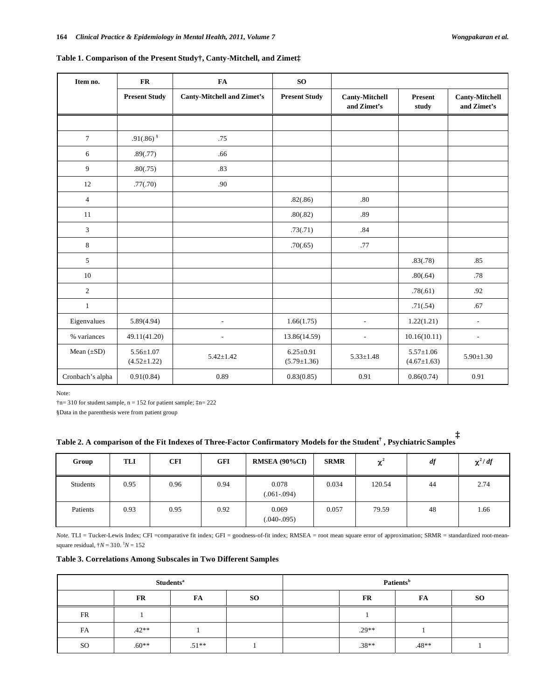| Table 1. Comparison of the Present Study†, Canty-Mitchell, and Zimet‡ |
|-----------------------------------------------------------------------|
|-----------------------------------------------------------------------|

| Item no.         | <b>FR</b>                            | FA                                | SO                                   |                                      |                                      |                                      |
|------------------|--------------------------------------|-----------------------------------|--------------------------------------|--------------------------------------|--------------------------------------|--------------------------------------|
|                  | <b>Present Study</b>                 | <b>Canty-Mitchell and Zimet's</b> | <b>Present Study</b>                 | <b>Canty-Mitchell</b><br>and Zimet's | Present<br>study                     | <b>Canty-Mitchell</b><br>and Zimet's |
|                  |                                      |                                   |                                      |                                      |                                      |                                      |
| $\boldsymbol{7}$ | $.91(.86)$ <sup>§</sup>              | .75                               |                                      |                                      |                                      |                                      |
| 6                | .89(.77)                             | .66                               |                                      |                                      |                                      |                                      |
| 9                | .80(.75)                             | .83                               |                                      |                                      |                                      |                                      |
| 12               | .77(.70)                             | .90                               |                                      |                                      |                                      |                                      |
| $\overline{4}$   |                                      |                                   | .82(.86)                             | .80                                  |                                      |                                      |
| 11               |                                      |                                   | .80(.82)                             | .89                                  |                                      |                                      |
| 3                |                                      |                                   | .73(.71)                             | .84                                  |                                      |                                      |
| 8                |                                      |                                   | .70(.65)                             | .77                                  |                                      |                                      |
| 5                |                                      |                                   |                                      |                                      | .83(.78)                             | .85                                  |
| 10               |                                      |                                   |                                      |                                      | .80(.64)                             | .78                                  |
| 2                |                                      |                                   |                                      |                                      | .78(.61)                             | .92                                  |
| $\mathbf{1}$     |                                      |                                   |                                      |                                      | .71(.54)                             | .67                                  |
| Eigenvalues      | 5.89(4.94)                           | ÷,                                | 1.66(1.75)                           | $\overline{\phantom{a}}$             | 1.22(1.21)                           | $\overline{\phantom{a}}$             |
| % variances      | 49.11(41.20)                         | $\overline{a}$                    | 13.86(14.59)                         | $\overline{\phantom{a}}$             | 10.16(10.11)                         | $\overline{a}$                       |
| Mean $(\pm SD)$  | $5.56 \pm 1.07$<br>$(4.52 \pm 1.22)$ | $5.42 \pm 1.42$                   | $6.25 \pm 0.91$<br>$(5.79 \pm 1.36)$ | $5.33 \pm 1.48$                      | $5.57 \pm 1.06$<br>$(4.67 \pm 1.63)$ | $5.90 \pm 1.30$                      |
| Cronbach's alpha | 0.91(0.84)                           | 0.89                              | 0.83(0.85)                           | 0.91                                 | 0.86(0.74)                           | 0.91                                 |

Note:

†n= 310 for student sample, n = 152 for patient sample; ‡n= 222

§Data in the parenthesis were from patient group

| Table 2. A comparison of the Fit Indexes of Three-Factor Confirmatory Models for the Student <sup>†</sup> , Psychiatric Samples <sup>†</sup> |  |
|----------------------------------------------------------------------------------------------------------------------------------------------|--|
|                                                                                                                                              |  |

| Group    | TLI  | <b>CFI</b> | <b>GFI</b> | RMSEA (90%CI)          | <b>SRMR</b> | $\chi$ | df | $\chi^2$ / df |
|----------|------|------------|------------|------------------------|-------------|--------|----|---------------|
| Students | 0.95 | 0.96       | 0.94       | 0.078<br>$(.061-.094)$ | 0.034       | 120.54 | 44 | 2.74          |
| Patients | 0.93 | 0.95       | 0.92       | 0.069<br>$(.040-.095)$ | 0.057       | 79.59  | 48 | 1.66          |

*Note.* TLI = Tucker-Lewis Index; CFI =comparative fit index; GFI = goodness-of-fit index; RMSEA = root mean square error of approximation; SRMR = standardized root-meansquare residual,  $\frac{1}{7}N = 310$ .  $\frac{1}{7}N = 152$ 

| Table 3. Correlations Among Subscales in Two Different Samples |  |  |
|----------------------------------------------------------------|--|--|
|----------------------------------------------------------------|--|--|

| Students <sup>a</sup> |         |         |           | Patients <sup>b</sup> |         |         |           |
|-----------------------|---------|---------|-----------|-----------------------|---------|---------|-----------|
|                       | FR      | FA      | <b>SO</b> |                       | FR      | FA      | <b>SO</b> |
| FR                    |         |         |           |                       |         |         |           |
| FA                    | $.42**$ |         |           |                       | $.29**$ |         |           |
| <sub>SO</sub>         | $.60**$ | $.51**$ |           |                       | $.38**$ | $.48**$ |           |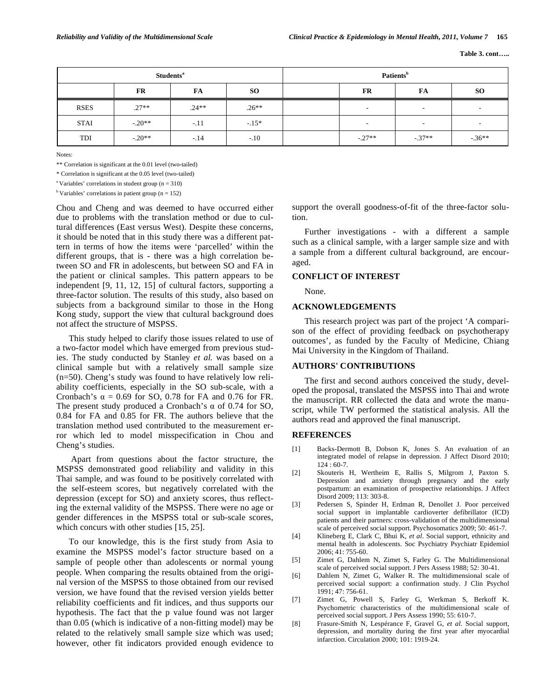| Students <sup>a</sup> |          |         |                 | Patients <sup>b</sup> |                          |                          |           |
|-----------------------|----------|---------|-----------------|-----------------------|--------------------------|--------------------------|-----------|
|                       | FR       | FA      | SO <sub>1</sub> |                       | FR                       | FA                       | <b>SO</b> |
| <b>RSES</b>           | $.27**$  | $.24**$ | $.26**$         |                       | $\overline{\phantom{a}}$ | $\overline{\phantom{a}}$ |           |
| <b>STAI</b>           | $-.20**$ | $-.11$  | $-15*$          |                       | -                        | $\overline{\phantom{a}}$ |           |
| TDI                   | $-.20**$ | $-.14$  | $-.10$          |                       | $-27**$                  | $-.37**$                 | $-36**$   |

Notes:

\*\* Correlation is significant at the 0.01 level (two-tailed)

\* Correlation is significant at the 0.05 level (two-tailed)

<sup>a</sup> Variables' correlations in student group ( $n = 310$ )

 $<sup>b</sup>$  Variables' correlations in patient group (n = 152)</sup>

Chou and Cheng and was deemed to have occurred either due to problems with the translation method or due to cultural differences (East versus West). Despite these concerns, it should be noted that in this study there was a different pattern in terms of how the items were 'parcelled' within the different groups, that is - there was a high correlation between SO and FR in adolescents, but between SO and FA in the patient or clinical samples. This pattern appears to be independent [9, 11, 12, 15] of cultural factors, supporting a three-factor solution. The results of this study, also based on subjects from a background similar to those in the Hong Kong study, support the view that cultural background does not affect the structure of MSPSS.

This study helped to clarify those issues related to use of a two-factor model which have emerged from previous studies. The study conducted by Stanley *et al.* was based on a clinical sample but with a relatively small sample size (n=50). Cheng's study was found to have relatively low reliability coefficients, especially in the SO sub-scale, with a Cronbach's  $\alpha = 0.69$  for SO, 0.78 for FA and 0.76 for FR. The present study produced a Cronbach's  $\alpha$  of 0.74 for SO, 0.84 for FA and 0.85 for FR. The authors believe that the translation method used contributed to the measurement error which led to model misspecification in Chou and Cheng's studies.

 Apart from questions about the factor structure, the MSPSS demonstrated good reliability and validity in this Thai sample, and was found to be positively correlated with the self-esteem scores, but negatively correlated with the depression (except for SO) and anxiety scores, thus reflecting the external validity of the MSPSS. There were no age or gender differences in the MSPSS total or sub-scale scores, which concurs with other studies [15, 25].

To our knowledge, this is the first study from Asia to examine the MSPSS model's factor structure based on a sample of people other than adolescents or normal young people. When comparing the results obtained from the original version of the MSPSS to those obtained from our revised version, we have found that the revised version yields better reliability coefficients and fit indices, and thus supports our hypothesis. The fact that the p value found was not larger than 0.05 (which is indicative of a non-fitting model) may be related to the relatively small sample size which was used; however, other fit indicators provided enough evidence to support the overall goodness-of-fit of the three-factor solution.

Further investigations - with a different a sample such as a clinical sample, with a larger sample size and with a sample from a different cultural background, are encouraged.

#### **CONFLICT OF INTEREST**

None.

## **ACKNOWLEDGEMENTS**

This research project was part of the project 'A comparison of the effect of providing feedback on psychotherapy outcomes', as funded by the Faculty of Medicine, Chiang Mai University in the Kingdom of Thailand.

#### **AUTHORS' CONTRIBUTIONS**

The first and second authors conceived the study, developed the proposal, translated the MSPSS into Thai and wrote the manuscript. RR collected the data and wrote the manuscript, while TW performed the statistical analysis. All the authors read and approved the final manuscript.

#### **REFERENCES**

- [1] Backs-Dermott B, Dobson K, Jones S. An evaluation of an integrated model of relapse in depression. J Affect Disord 2010; 124 : 60-7.
- [2] Skouteris H, Wertheim E, Rallis S, Milgrom J, Paxton S. Depression and anxiety through pregnancy and the early postpartum: an examination of prospective relationships. J Affect Disord 2009; 113: 303-8.
- [3] Pedersen S, Spinder H, Erdman R, Denollet J. Poor perceived social support in implantable cardioverter defibrillator (ICD) patients and their partners: cross-validation of the multidimensional scale of perceived social support. Psychosomatics 2009; 50: 461-7.
- [4] Klineberg E, Clark C, Bhui K, *et al*. Social support, ethnicity and mental health in adolescents. Soc Psychiatry Psychiatr Epidemiol 2006; 41: 755-60.
- [5] Zimet G, Dahlem N, Zimet S, Farley G. The Multidimensional scale of perceived social support. J Pers Assess 1988; 52: 30-41.
- [6] Dahlem N, Zimet G, Walker R. The multidimensional scale of perceived social support: a confirmation study. J Clin Psychol 1991; 47: 756-61.
- [7] Zimet G, Powell S, Farley G, Werkman S, Berkoff K. Psychometric characteristics of the multidimensional scale of perceived social support. J Pers Assess 1990; 55: 610-7.
- [8] Frasure-Smith N, Lespérance F, Gravel G, *et al*. Social support, depression, and mortality during the first year after myocardial infarction. Circulation 2000; 101: 1919-24.